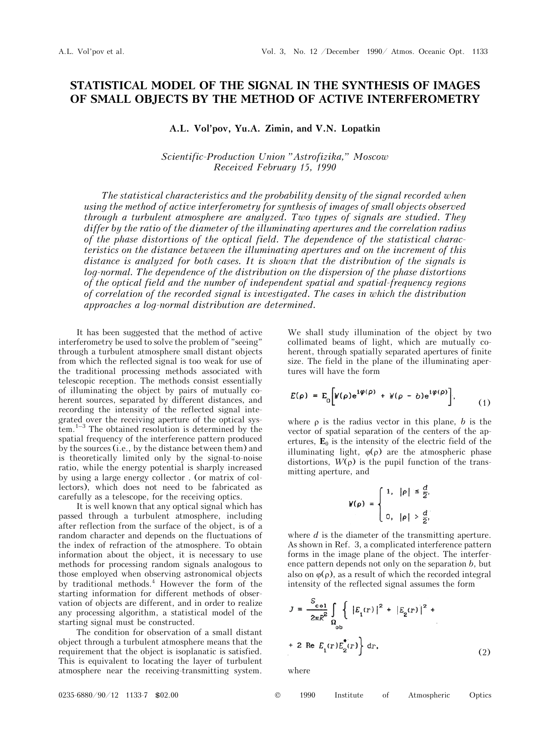## **STATISTICAL MODEL OF THE SIGNAL IN THE SYNTHESIS OF IMAGES OF SMALL OBJECTS BY THE METHOD OF ACTIVE INTERFEROMETRY**

**A.L. Vol'pov, Yu.A. Zimin, and V.N. Lopatkin** 

*Scientific-Production Union "Astrofizika," Moscow Received February 15, 1990* 

*The statistical characteristics and the probability density of the signal recorded when using the method of active interferometry for synthesis of images of small objects observed through a turbulent atmosphere are analyzed. Two types of signals are studied. They differ by the ratio of the diameter of the illuminating apertures and the correlation radius of the phase distortions of the optical field. The dependence of the statistical characteristics on the distance between the illuminating apertures and on the increment of this distance is analyzed for both cases. It is shown that the distribution of the signals is log-normal. The dependence of the distribution on the dispersion of the phase distortions of the optical field and the number of independent spatial and spatial-frequency regions of correlation of the recorded signal is investigated. The cases in which the distribution approaches a log-normal distribution are determined.* 

It has been suggested that the method of active interferometry be used to solve the problem of "seeing" through a turbulent atmosphere small distant objects from which the reflected signal is too weak for use of the traditional processing methods associated with telescopic reception. The methods consist essentially of illuminating the object by pairs of mutually coherent sources, separated by different distances, and recording the intensity of the reflected signal integrated over the receiving aperture of the optical system.1–3 The obtained resolution is determined by the spatial frequency of the interference pattern produced by the sources (i.e., by the distance between them) and is theoretically limited only by the signal-to-noise ratio, while the energy potential is sharply increased by using a large energy collector . (or matrix of collectors), which does not need to be fabricated as carefully as a telescope, for the receiving optics.

It is well known that any optical signal which has passed through a turbulent atmosphere, including after reflection from the surface of the object, is of a random character and depends on the fluctuations of the index of refraction of the atmosphere. To obtain information about the object, it is necessary to use methods for processing random signals analogous to those employed when observing astronomical objects by traditional methods.4 However the form of the starting information for different methods of observation of objects are different, and in order to realize any processing algorithm, a statistical model of the starting signal must be constructed.

The condition for observation of a small distant object through a turbulent atmosphere means that the requirement that the object is isoplanatic is satisfied. This is equivalent to locating the layer of turbulent atmosphere near the receiving-transmitting system.

We shall study illumination of the object by two collimated beams of light, which are mutually coherent, through spatially separated apertures of finite size. The field in the plane of the illuminating apertures will have the form

$$
E(\rho) = E_0 \bigg[ W(\rho) e^{i \phi(\rho)} + W(\rho - b) e^{i \phi(\rho)} \bigg], \qquad (1)
$$

where  $\rho$  is the radius vector in this plane, *b* is the vector of spatial separation of the centers of the apertures,  $\mathbf{E}_0$  is the intensity of the electric field of the illuminating light,  $\varphi(\rho)$  are the atmospheric phase distortions,  $W(\rho)$  is the pupil function of the transmitting aperture, and

$$
W(\rho) = \begin{cases} 1, & |\rho| \leq \frac{d}{2}, \\ & \\ 0, & |\rho| > \frac{d}{2}, \end{cases}
$$

where *d* is the diameter of the transmitting aperture. As shown in Ref. 3, a complicated interference pattern forms in the image plane of the object. The interference pattern depends not only on the separation *b*, but also on  $\varphi(\rho)$ , as a result of which the recorded integral intensity of the reflected signal assumes the form

$$
J = \frac{S_{\text{col}}}{2\pi R^2} \int_{\Omega_{\text{ob}}} \left\{ |E_1(r)|^2 + |E_2(r)|^2 + \right.
$$
  
+ 2 Re  $E_1(r)E_2(r)$  dr, (2)

where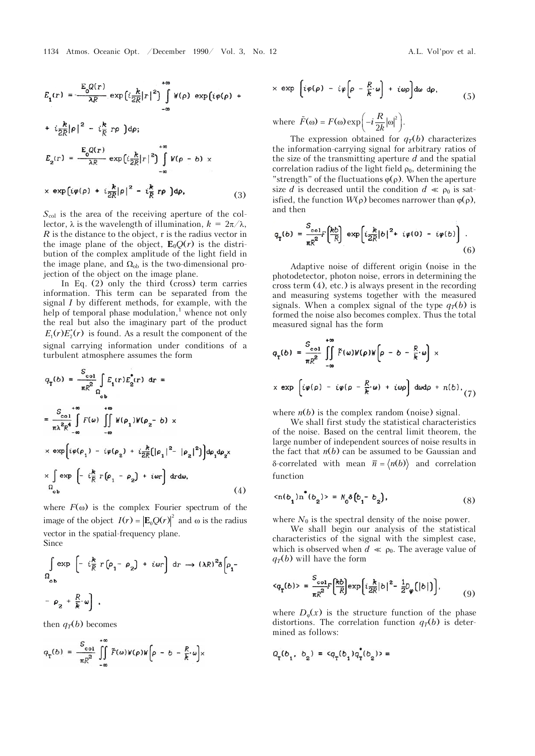$$
E_{1}(r) = \frac{E_{0}Q(r)}{\lambda R} \exp\{i\frac{k}{2R}|r|^{2}\} \int_{-\infty}^{+\infty} W(\rho) \exp\{i\varphi(\rho) + i\frac{k}{2R}|\rho|^{2} - i\frac{k}{R}r\rho\} d\rho;
$$
  
+  $i\frac{k}{2R}|\rho|^{2} - i\frac{k}{R}r\rho\} d\rho;$   

$$
E_{2}(r) = \frac{E_{0}Q(r)}{\lambda R} \exp\{i\frac{k}{2R}|r|^{2}\} \int_{-\infty}^{+\infty} W(\rho - b) \times
$$
  
×  $\exp\{i\varphi(\rho) + i\frac{k}{2R}|\rho|^{2} - i\frac{k}{R}r\rho\} d\rho,$  (3)

 $S_{\text{col}}$  is the area of the receiving aperture of the collector,  $\lambda$  is the wavelength of illumination,  $k = 2\pi/\lambda$ , *R* is the distance to the object, r is the radius vector in the image plane of the object,  $\mathbf{E}_0O(r)$  is the distribution of the complex amplitude of the light field in the image plane, and  $\Omega_{ob}$  is the two-dimensional projection of the object on the image plane.

In Eq. (2) only the third (cross) term carries information. This term can be separated from the signal *I* by different methods, for example, with the help of temporal phase modulation,<sup>1</sup> whence not only the real but also the imaginary part of the product \*  $E_1(r) E_2^*(r)$  is found. As a result the component of the signal carrying information under conditions of a turbulent atmosphere assumes the form

$$
q_{\mathbf{T}}(b) = \frac{S_{\text{col}}}{\pi R^2} \int_{\mathcal{O}_{\text{ob}}} E_{\mathbf{1}}(r) E_{\mathbf{2}}^{\dagger}(r) \, dr =
$$
\n
$$
= \frac{S_{\text{col}}}{\pi \lambda^2 R^4} \int_{-\infty}^{+\infty} F(\omega) \int_{-\infty}^{+\infty} W(\rho_{\mathbf{1}}) W(\rho_{\mathbf{2}} - b) \times
$$
\n
$$
\times \exp\left[i \varphi(\rho_{\mathbf{1}}) - i \varphi(\rho_{\mathbf{2}}) + i \frac{k}{2R} [|\rho_{\mathbf{1}}|^2 - |\rho_{\mathbf{2}}|^2] \right] d\rho_{\mathbf{1}} d\rho_{\mathbf{2}} \times
$$
\n
$$
\times \int_{\Omega_{\text{ob}}} \exp\left[-i \frac{k}{R} r [\rho_{\mathbf{1}} - \rho_{\mathbf{2}}) + i \omega r \right] dr d\omega, \tag{4}
$$

where  $F(\omega)$  is the complex Fourier spectrum of the image of the object  $I(r) = |\mathbf{E}_0 Q(r)|^2$  and  $\omega$  is the radius vector in the spatial-frequency plane. Since

$$
\int_{\Omega_{\text{ob}}} \exp\left[-i\frac{k}{R}r(\rho_1 - \rho_2) + i\omega r\right] dr \rightarrow (\lambda R)^2 \delta \left[\rho_1 - \rho_2 + \frac{R}{k} \omega\right],
$$

then  $q_T(b)$  becomes

$$
q_{\text{T}}(b) = \frac{S_{\text{col}}}{\pi R^2} \iint\limits_{-\infty}^{+\infty} \tilde{F}(\omega) W(\rho) W(\rho - b - \frac{R}{k} \omega) \times
$$

$$
\times \exp \left[ i \varphi(\rho) - i \varphi \left[ \rho - \frac{R}{k} \omega \right] + i \omega \rho \right] d\omega \, d\rho, \tag{5}
$$

where  $\tilde{F}(\omega) = F(\omega) \exp\left(-i\frac{R}{2k}|\omega|^2\right)$ .

The expression obtained for  $q_T(b)$  characterizes the information-carrying signal for arbitrary ratios of the size of the transmitting aperture *d* and the spatial correlation radius of the light field  $\rho_0$ , determining the "strength" of the fluctuations  $\varphi(\rho)$ . When the aperture size *d* is decreased until the condition  $d \ll \rho_0$  is satisfied, the function  $W(\rho)$  becomes narrower than  $\varphi(\rho)$ , and then

$$
q_{\mathbf{T}}(b) = \frac{S_{\text{col}}}{\pi R^2} \left[\frac{kb}{R}\right] \exp\left[i\frac{k}{2R}|b|^2 + i\varphi(0) - i\varphi(b)\right].
$$
\n(6)

Adaptive noise of different origin (noise in the photodetector, photon noise, errors in determining the cross term (4), etc.) is always present in the recording and measuring systems together with the measured signals. When a complex signal of the type  $q_T(b)$  is formed the noise also becomes complex. Thus the total measured signal has the form

$$
q_{\tau}(b) = \frac{S_{col}}{\pi R^2} \int_{-\infty}^{+\infty} \tilde{F}(\omega)W(\rho)W(\rho - b - \frac{R}{k} \cdot \omega) \times
$$
  
 
$$
\times \exp \left[ i\varphi(\rho) - i\varphi(\rho - \frac{R}{k} \cdot \omega) + i\omega \rho \right] d\omega d\rho + n(b), \tag{7}
$$

where  $n(b)$  is the complex random (noise) signal.

We shall first study the statistical characteristics of the noise. Based on the central limit theorem, the large number of independent sources of noise results in the fact that  $n(b)$  can be assumed to be Gaussian and  $\delta$ -correlated with mean  $\bar{n} = \langle n(b) \rangle$  and correlation function

$$
\langle n(b_1) n^*(b_2) \rangle = N_0 \delta(b_1 - b_2), \tag{8}
$$

where  $N_0$  is the spectral density of the noise power.

We shall begin our analysis of the statistical characteristics of the signal with the simplest case, which is observed when  $d \ll \rho_0$ . The average value of  $q_T(b)$  will have the form

$$
\langle q_{\tau}(b) \rangle = \frac{S_{\text{col}}}{\pi R^2} \left[ \frac{kb}{R} \right] \exp \left\{ i \frac{k}{2R} |b|^2 - \frac{1}{2} D_{\varphi} \left( |b| \right) \right\},\tag{9}
$$

where  $D_{\varphi}(x)$  is the structure function of the phase distortions. The correlation function  $q_T(b)$  is determined as follows: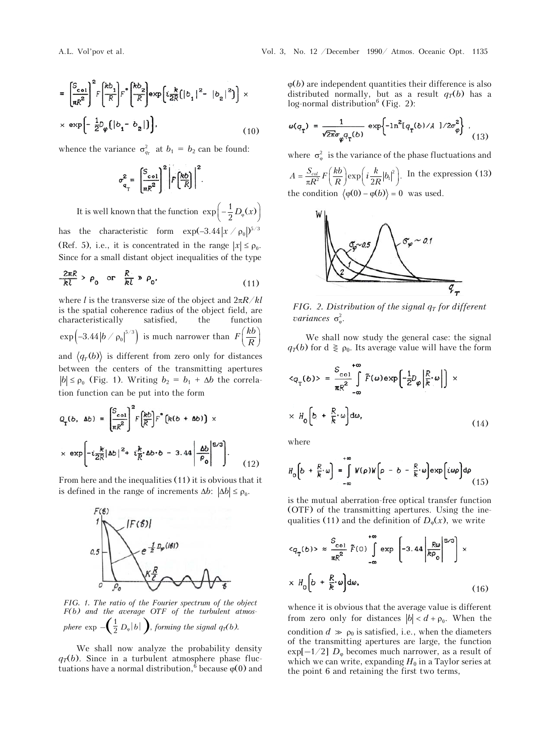$$
= \left[\frac{S_{\text{col}}}{\pi R^2}\right]^2 F \left[\frac{k b_1}{R}\right] F^* \left(\frac{k b_2}{R}\right) \exp\left(i \frac{k}{2R} \left(|b_1|^2 - |b_2|^2\right)\right) \times \exp\left[-\frac{1}{2} D_\varphi \left(|b_1 - b_2|\right)\right],
$$
\n(10)

whence the variance  $\sigma_{q_T}^2$  at  $b_1 = b_2$  can be found:

$$
\sigma_{\mathbf{q}_{\mathrm{T}}}^{2} = \left. \left[ \frac{S_{\mathrm{col}}}{\pi R^{2}} \right]^{2} \middle| F\left( \frac{\hbar b}{R} \right) \right|^{2}.
$$

It is well known that the function  $\exp \left( -\frac{1}{2} D_{\varphi}(x) \right)$ has the characteristic form  $\exp(-3.44 |x \nvert / \rho_0|)^{5/3}$ (Ref. 5), i.e., it is concentrated in the range  $|x| \le \rho_0$ . Since for a small distant object inequalities of the type

$$
\frac{2\pi R}{kl} > \rho_0 \quad \text{or} \quad \frac{R}{kl} \gg \rho_0,
$$
 (11)

where *l* is the transverse size of the object and 2*R*/*kl* is the spatial coherence radius of the object field, are characteristically satisfied, the function  $\exp\left(-3.44\left|b\right/p_{\text{o}}\right|^{5/3}\right)$  is much narrower than  $F\!\left(\frac{kb}{R}\right)$ and  $\langle q_T(b) \rangle$  is different from zero only for distances between the centers of the transmitting apertures  $|b| \le \rho_0$  (Fig. 1). Writing  $b_2 = b_1 + \Delta b$  the correlation function can be put into the form

$$
Q_{\mathbf{T}}(b, \Delta b) = \left[\frac{S_{\text{col}}}{\pi R^2}\right]^2 F\left(\frac{kb}{R}\right) F^*(k(b + \Delta b)) \times
$$
  
 
$$
\times \exp\left[-i\frac{k}{2R}|\Delta b|^2 + i\frac{k}{R}\Delta b \cdot b - 3.44\left|\frac{\Delta b}{\rho_0}\right|^{5/3}\right].
$$
 (12)

From here and the inequalities (11) it is obvious that it is defined in the range of increments  $\Delta b$ :  $|\Delta b| \le \rho_0$ .



*FIG. 1. The ratio of the Fourier spectrum of the object F(b) and the average OTF of the turbulent atmos-* $\sqrt{1-\mu}$ 

*phere* exp 
$$
-\left(\frac{1}{2} D_{\varphi} |b| \right)
$$
, *forming the signal*  $q_{\text{T}}(b)$ .

We shall now analyze the probability density  $q_T(b)$ . Since in a turbulent atmosphere phase fluctuations have a normal distribution,<sup>6</sup> because  $\varphi(0)$  and  $\varphi(b)$  are independent quantities their difference is also distributed normally, but as a result  $q_T(b)$  has a  $log-normal distribution<sup>6</sup> (Fig. 2):$ 

$$
\omega(q_{_{\rm T}}) = \frac{1}{\sqrt{2\pi}\sigma_{\varphi}q_{_{\rm T}}(b)} \exp\left\{-\ln^2[q_{_{\rm T}}(b)/A\ ]/2\sigma_{\varphi}^2\right\} \;, \eqno{(13)}
$$

where  $\sigma_{\omega}^2$  is the variance of the phase fluctuations and  $A = \frac{S_{col}}{\pi R^2} F\left(\frac{kb}{R}\right) \exp\left(i\frac{k}{2R}|b_i|^2\right)$ . In the expression (13) the condition  $\langle \varphi(0) - \varphi(b) \rangle = 0$  was used.



*FIG. 2. Distribution of the signal*  $q_T$  *for different variances*  $\sigma_{\varphi}^2$ .

We shall now study the general case: the signal  $q_T(b)$  for  $d \geq \rho_0$ . Its average value will have the form

$$
\langle q_{\mathbf{T}}(b) \rangle = \frac{S_{\text{col}}}{\pi R^2} \int_{-\infty}^{+\infty} \tilde{F}(\omega) \exp\left[-\frac{1}{2}D_{\varphi} \left| \frac{R}{R} \cdot \omega \right| \right] \times
$$
  
 
$$
\times H_0 \left[ b + \frac{R}{k} \cdot \omega \right] d\omega, \qquad (14)
$$

where

$$
H_{0}\left(b + \frac{R}{k} \cdot \omega\right) = \int_{-\infty}^{+\infty} W(\rho)W\left(\rho - b - \frac{R}{k} \cdot \omega\right) \exp\left(i\omega\rho\right) d\rho
$$
\n(15)

is the mutual aberration-free optical transfer function (OTF) of the transmitting apertures. Using the inequalities (11) and the definition of  $D_{\phi}(x)$ , we write

$$
\langle q_{\mathbf{T}}(b) \rangle \approx \frac{S_{\text{col}}}{\pi R^2} \tilde{F}(0) \int_{-\infty}^{+\infty} \exp\left[-3.44 \left| \frac{R\omega}{k\rho_0} \right|^{5/3}\right] \times
$$
  
 
$$
\times H_0 \left[b + \frac{R}{k} \omega\right] d\omega, \qquad (16)
$$

whence it is obvious that the average value is different from zero only for distances  $|b| < d + \rho_0$ . When the condition  $d \gg \rho_0$  is satisfied, i.e., when the diameters of the transmitting apertures are large, the function  $\exp[-1/2]$   $D_{\varphi}$  becomes much narrower, as a result of which we can write, expanding  $H_0$  in a Taylor series at the point 6 and retaining the first two terms,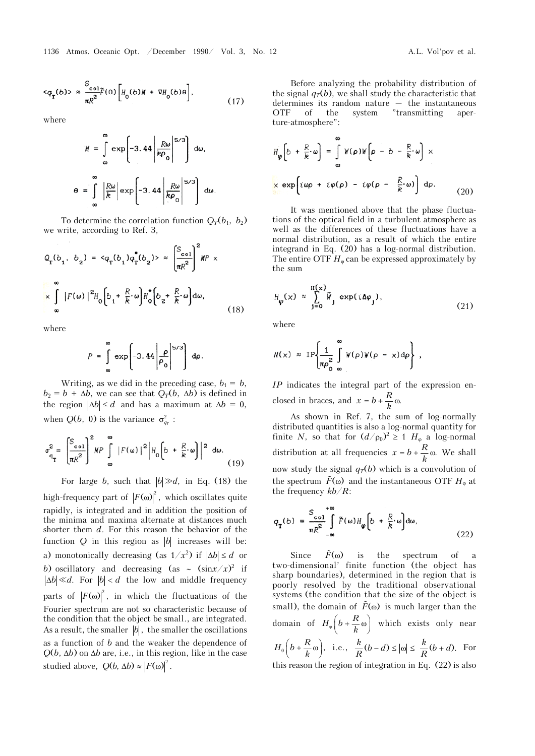$$
\langle q_{\mathbf{T}}(b) \rangle \approx \frac{S_{\text{col}}}{\pi R^2} \tilde{F}(0) \left[ H_0(b) M + \nabla H_0(b) \theta \right],\tag{17}
$$

where

 $\boldsymbol{\theta}$ 

$$
M = \int_{\infty}^{\infty} \exp\left[-3.44 \left| \frac{R\omega}{k\rho_0} \right|^{5/3}\right] d\omega,
$$
  

$$
= \int_{\infty}^{\infty} \left| \frac{R\omega}{k} \right| \exp\left[-3.44 \left| \frac{R\omega}{k\rho_0} \right|^{5/3}\right] d\omega.
$$

To determine the correlation function  $Q_T(b_1, b_2)$ we write, according to Ref. 3,

$$
Q_{\mathbf{T}}(b_1, b_2) = \langle q_{\mathbf{T}}(b_1) q_{\mathbf{T}}^{\dagger}(b_2) \rangle \approx \left(\frac{S_{\text{col}}}{\pi R^2}\right)^2 M P \times
$$
  

$$
\times \int_{\infty}^{\infty} |F(\omega)|^2 H_0 \left[b_1 + \frac{R}{R} \omega\right] H_0^{\dagger} \left[b_2 + \frac{R}{R} \omega\right] d\omega,
$$
 (18)

where

$$
P = \int_{\infty}^{\infty} \exp\left[-3.44 \left| \frac{\rho}{\rho_0} \right|^{5/3}\right) d\rho.
$$

Writing, as we did in the preceding case,  $b_1 = b$ ,  $b_2 = b + \Delta b$ , we can see that  $Q_T(b, \Delta b)$  is defined in the region  $|\Delta b| \le d$  and has a maximum at  $\Delta b = 0$ , when  $Q(b, 0)$  is the variance  $\sigma_{q_r}^2$ :

$$
\sigma_{\mathbf{q}_{\mathrm{T}}}^{2} = \left(\frac{S_{\mathrm{col}}}{\pi R^{2}}\right)^{2} M P \int_{\infty}^{\infty} |F(\omega)|^{2} |H_{0}\left(b + \frac{R}{k} \cdot \omega\right)|^{2} d\omega.
$$
\n(19)

For large *b*, such that  $|b| \gg d$ , in Eq. (18) the high-frequency part of  $|F(\omega)|^2$ , which oscillates quite rapidly, is integrated and in addition the position of the minima and maxima alternate at distances much shorter them *d*. For this reason the behavior of the function  $Q$  in this region as  $|b|$  increases will be: a) monotonically decreasing (as  $1/x^2$ ) if  $|\Delta b| \le d$  or b) oscillatory and decreasing (as  $\sim$   $(\sin x/x)^2$  if  $|\Delta b| \ll d$ . For  $|b| < d$  the low and middle frequency parts of  $|F(\omega)|^2$ , in which the fluctuations of the Fourier spectrum are not so characteristic because of the condition that the object be small., are integrated. As a result, the smaller  $|b|$ , the smaller the oscillations as a function of *b* and the weaker the dependence of  $Q(b, \Delta b)$  on  $\Delta b$  are, i.e., in this region, like in the case studied above,  $Q(b, \Delta b) \approx |F(\omega)|^2$ .

Before analyzing the probability distribution of the signal  $q_T(b)$ , we shall study the characteristic that determines its random nature — the instantaneous OTF of the system "transmitting aperture-atmosphere":

$$
H_{\varphi}\left[b + \frac{R}{k} \cdot \omega\right] = \int_{\infty}^{\infty} W(\rho) W\left[\rho - b - \frac{R}{k} \cdot \omega\right] \times
$$
  

$$
\times \exp\left[i \omega \rho + i \varphi(\rho) - i \varphi(\rho - \frac{R}{k} \cdot \omega)\right] d\rho.
$$
 (20)

It was mentioned above that the phase fluctuations of the optical field in a turbulent atmosphere as well as the differences of these fluctuations have a normal distribution, as a result of which the entire integrand in Eq. (20) has a log-normal distribution. The entire OTF  $H_{\varphi}$  can be expressed approximately by the sum

$$
H_{\varphi}(x) \approx \sum_{j=0}^{H(x)} \widetilde{W}_{j} \exp(i\Delta\varphi_{j}), \qquad (21)
$$

where

$$
N(x) \approx \text{IP}\left\{\frac{1}{\pi \rho_0^2} \int\limits_{\infty}^{\infty} W(\rho) W(\rho - x) d\rho\right\} ,
$$

*IP* indicates the integral part of the expression enclosed in braces, and  $x = b + \frac{R}{b} \omega$ .

As shown in Ref. 7, the sum of log-normally distributed quantities is also a log-normal quantity for finite *N*, so that for  $(d/p_0)^2 \ge 1$  *H*<sub> $\varphi$ </sub> a log-normal distribution at all frequencies  $x = b + \frac{R}{b}$   $\omega$ . We shall now study the signal  $q_T(b)$  which is a convolution of the spectrum  $\tilde{F}(\omega)$  and the instantaneous OTF  $H_{\omega}$  at the frequency *kb*/*R*:

$$
q_{\mathbf{T}}(b) = \frac{S_{\text{col}}}{\pi R^2} \int_{-\infty}^{\infty} \tilde{F}(\omega) H_{\varphi}\left(b + \frac{R}{k} \omega\right) d\omega, \tag{22}
$$

Since  $\tilde{F}(\omega)$  is the spectrum of a two-dimensional' finite function (the object has sharp boundaries), determined in the region that is poorly resolved by the traditional observational systems (the condition that the size of the object is small), the domain of  $\tilde{F}(\omega)$  is much larger than the domain of  $H_{\varphi}\left(b + \frac{R}{k}\omega\right)$  which exists only near  $H_0\left(b+\frac{R}{k}\omega\right)$ , i.e.,  $\frac{k}{R}(b-d) \leq |\omega| \leq \frac{k}{R}(b+d)$ . For this reason the region of integration in Eq. (22) is also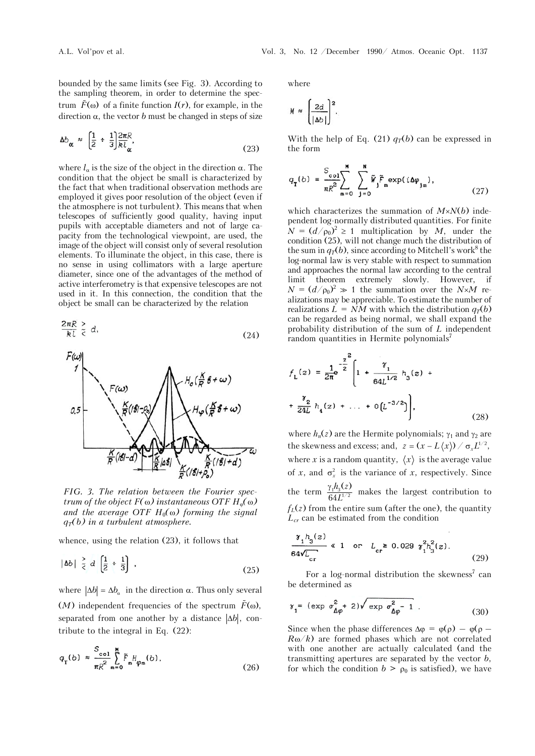bounded by the same limits (see Fig. 3). According to the sampling theorem, in order to determine the spectrum  $\tilde{F}(\omega)$  of a finite function  $I(r)$ , for example, in the direction  $\alpha$ , the vector *b* must be changed in steps of size

$$
\Delta b_{\alpha} \approx \left(\frac{1}{2} \div \frac{1}{3}\right) \frac{2\pi R}{k l_{\alpha}},\tag{23}
$$

where  $l_{\alpha}$  is the size of the object in the direction  $\alpha$ . The condition that the object be small is characterized by the fact that when traditional observation methods are employed it gives poor resolution of the object (even if the atmosphere is not turbulent). This means that when telescopes of sufficiently good quality, having input pupils with acceptable diameters and not of large capacity from the technological viewpoint, are used, the image of the object will consist only of several resolution elements. To illuminate the object, in this case, there is no sense in using collimators with a large aperture diameter, since one of the advantages of the method of active interferometry is that expensive telescopes are not used in it. In this connection, the condition that the object be small can be characterized by the relation

$$
\frac{2\pi R}{k l} \stackrel{>}{\leq} d,\tag{24}
$$



*FIG. 3. The relation between the Fourier spectrum of the object*  $F(\omega)$  *instantaneous OTF*  $H_{\varphi}(\omega)$ *and the average OTF*  $H_0(\omega)$  *forming the signal*  $q_T(b)$  in a turbulent atmosphere.

whence, using the relation (23), it follows that

$$
|\Delta b| \geq d \left[\frac{1}{2} + \frac{1}{3}\right], \tag{25}
$$

where  $|\Delta b| = \Delta b_{\alpha}$  in the direction  $\alpha$ . Thus only several (*M*) independent frequencies of the spectrum  $\tilde{F}(\omega)$ , separated from one another by a distance  $|\Delta b|$ , contribute to the integral in Eq. (22):

$$
q_{\mathbf{T}}(b) \approx \frac{S_{\text{col}}}{\pi R^2} \sum_{\mathbf{m}=0}^{\mathbf{M}} \tilde{F}_{\mathbf{m}} H_{\varphi_{\mathbf{m}}}(b), \qquad (26)
$$

where

$$
M \approx \left(\frac{2d}{|\Delta b|}\right)^2.
$$

With the help of Eq. (21)  $q_T(b)$  can be expressed in the form

$$
q_{\mathbf{T}}(b) = \frac{S_{\text{col}}}{\pi R^2} \sum_{m=0}^{\mathbf{N}} \sum_{j=0}^{\mathbf{N}} \tilde{W}_j \tilde{F}_m \exp(i\Delta\varphi_{jm}), \qquad (27)
$$

which characterizes the summation of  $M \times N(b)$  independent log-normally distributed quantities. For finite  $N = (d/\rho_0)^2 \ge 1$  multiplication by *M*, under the condition (25), will not change much the distribution of the sum in  $q_T(b)$ , since according to Mitchell's work<sup>8</sup> the log-normal law is very stable with respect to summation and approaches the normal law according to the central limit theorem extremely slowly. However, if  $N = (d/\rho_0)^2 \gg 1$  the summation over the *N*×*M* realizations may be appreciable. To estimate the number of realizations  $L = NM$  with which the distribution  $q_T(b)$ can be regarded as being normal, we shall expand the probability distribution of the sum of *L* independent random quantities in Hermite polynomials<sup>7</sup>

$$
f_{L}(z) = \frac{1}{2\pi} e^{-\frac{z^{2}}{2}} \left[ 1 + \frac{\gamma_{1}}{64L^{1/2}} h_{3}(z) + \frac{\gamma_{2}}{24L} h_{4}(z) + \dots + 0 \left( L^{-3/2} \right) \right],
$$
\n(28)

where  $h_n(z)$  are the Hermite polynomials;  $\gamma_1$  and  $\gamma_2$  are the skewness and excess; and,  $z = (x - L\langle x \rangle) / \sigma_x L^{1/2}$ , where *x* is a random quantity,  $\langle x \rangle$  is the average value of *x*, and  $\sigma_x^2$  is the variance of *x*, respectively. Since the term  $\frac{\gamma_1 h_3(z)}{64 I^{1/2}}$ 64  $h<sub>3</sub>(z$  $\frac{\gamma_1 h_3(z)}{64L^{1/2}}$  makes the largest contribution to  $f_L(z)$  from the entire sum (after the one), the quantity *Lcr* can be estimated from the condition

$$
\frac{\gamma_1 h_3(z)}{64\sqrt{L_{cr}}} \ll 1 \quad \text{or} \quad L_{cr} \ge 0.029 \ \gamma_1^2 h_3^2(z). \tag{29}
$$

For a log-normal distribution the skewness<sup>7</sup> can be determined as

$$
\gamma_1 = (\exp \sigma_{\Delta\varphi}^2 + 2) \sqrt{\exp \sigma_{\Delta\varphi}^2 - 1} \tag{30}
$$

Since when the phase differences  $\Delta \varphi = \varphi(\rho) - \varphi(\rho R\omega/k$ ) are formed phases which are not correlated with one another are actually calculated (and the transmitting apertures are separated by the vector *b*, for which the condition  $b > \rho_0$  is satisfied), we have